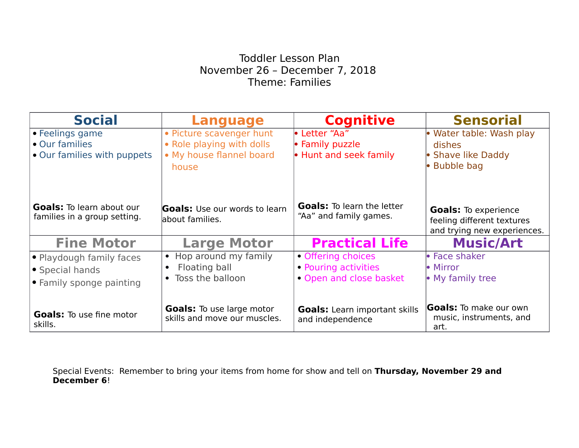## Toddler Lesson Plan November 26 – December 7, 2018 Theme: Families

| <b>Social</b>                                                    | <b>Language</b>                                                  | <b>Cognitive</b>                                            | <b>Sensorial</b>                                                                         |
|------------------------------------------------------------------|------------------------------------------------------------------|-------------------------------------------------------------|------------------------------------------------------------------------------------------|
| • Feelings game                                                  | • Picture scavenger hunt                                         | • Letter "Aa"                                               | • Water table: Wash play                                                                 |
| • Our families                                                   | • Role playing with dolls                                        | • Family puzzle                                             | dishes                                                                                   |
| • Our families with puppets                                      | • My house flannel board                                         | • Hunt and seek family                                      | • Shave like Daddy                                                                       |
|                                                                  | house                                                            |                                                             | • Bubble bag                                                                             |
| <b>Goals:</b> To learn about our<br>families in a group setting. | <b>Goals:</b> Use our words to learn<br>labout families.         | <b>Goals:</b> To learn the letter<br>"Aa" and family games. | <b>Goals:</b> To experience<br>feeling different textures<br>and trying new experiences. |
| <b>Fine Motor</b>                                                | <b>Large Motor</b>                                               | <b>Practical Life</b>                                       | <b>Music/Art</b>                                                                         |
| • Playdough family faces                                         | • Hop around my family                                           | • Offering choices                                          | • Face shaker                                                                            |
| • Special hands                                                  | Floating ball                                                    | • Pouring activities                                        | • Mirror                                                                                 |
| • Family sponge painting                                         | • Toss the balloon                                               | • Open and close basket                                     | • My family tree                                                                         |
| <b>Goals:</b> To use fine motor<br>skills.                       | <b>Goals:</b> To use large motor<br>skills and move our muscles. | <b>Goals:</b> Learn important skills<br>and independence    | <b>Goals:</b> To make our own<br>music, instruments, and<br>art.                         |

Special Events: Remember to bring your items from home for show and tell on **Thursday, November 29 and December 6**!